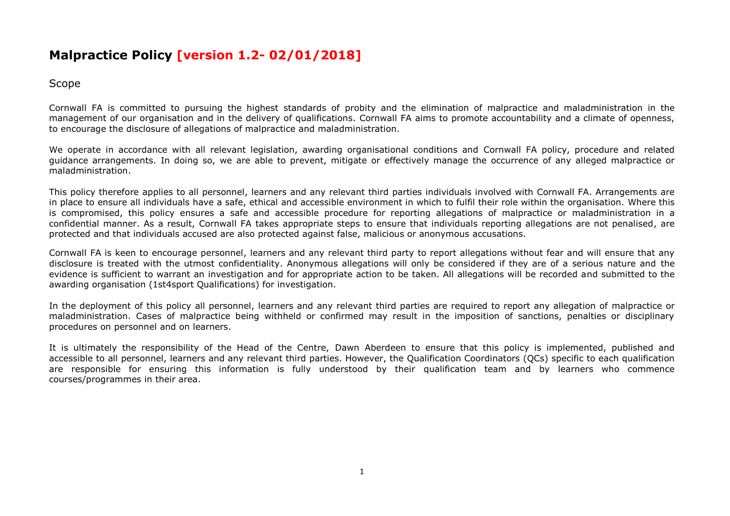## **Malpractice Policy [version 1.2- 02/01/2018]**

Scope

Cornwall FA is committed to pursuing the highest standards of probity and the elimination of malpractice and maladministration in the management of our organisation and in the delivery of qualifications. Cornwall FA aims to promote accountability and a climate of openness, to encourage the disclosure of allegations of malpractice and maladministration.

We operate in accordance with all relevant legislation, awarding organisational conditions and Cornwall FA policy, procedure and related guidance arrangements. In doing so, we are able to prevent, mitigate or effectively manage the occurrence of any alleged malpractice or maladministration.

This policy therefore applies to all personnel, learners and any relevant third parties individuals involved with Cornwall FA. Arrangements are in place to ensure all individuals have a safe, ethical and accessible environment in which to fulfil their role within the organisation. Where this is compromised, this policy ensures a safe and accessible procedure for reporting allegations of malpractice or maladministration in a confidential manner. As a result, Cornwall FA takes appropriate steps to ensure that individuals reporting allegations are not penalised, are protected and that individuals accused are also protected against false, malicious or anonymous accusations.

Cornwall FA is keen to encourage personnel, learners and any relevant third party to report allegations without fear and will ensure that any disclosure is treated with the utmost confidentiality. Anonymous allegations will only be considered if they are of a serious nature and the evidence is sufficient to warrant an investigation and for appropriate action to be taken. All allegations will be recorded and submitted to the awarding organisation (1st4sport Qualifications) for investigation.

In the deployment of this policy all personnel, learners and any relevant third parties are required to report any allegation of malpractice or maladministration. Cases of malpractice being withheld or confirmed may result in the imposition of sanctions, penalties or disciplinary procedures on personnel and on learners.

It is ultimately the responsibility of the Head of the Centre, Dawn Aberdeen to ensure that this policy is implemented, published and accessible to all personnel, learners and any relevant third parties. However, the Qualification Coordinators (QCs) specific to each qualification are responsible for ensuring this information is fully understood by their qualification team and by learners who commence courses/programmes in their area.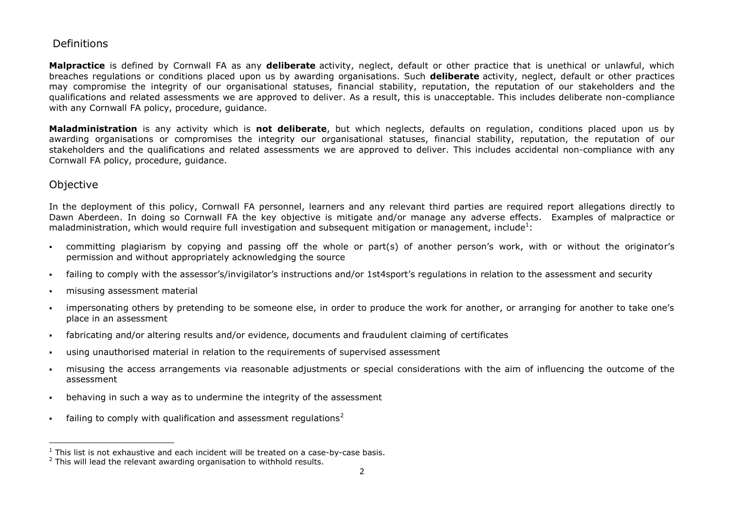## Definitions

**Malpractice** is defined by Cornwall FA as any **deliberate** activity, neglect, default or other practice that is unethical or unlawful, which breaches regulations or conditions placed upon us by awarding organisations. Such **deliberate** activity, neglect, default or other practices may compromise the integrity of our organisational statuses, financial stability, reputation, the reputation of our stakeholders and the qualifications and related assessments we are approved to deliver. As a result, this is unacceptable. This includes deliberate non-compliance with any Cornwall FA policy, procedure, guidance.

**Maladministration** is any activity which is **not deliberate**, but which neglects, defaults on regulation, conditions placed upon us by awarding organisations or compromises the integrity our organisational statuses, financial stability, reputation, the reputation of our stakeholders and the qualifications and related assessments we are approved to deliver. This includes accidental non-compliance with any Cornwall FA policy, procedure, guidance.

## **Objective**

In the deployment of this policy, Cornwall FA personnel, learners and any relevant third parties are required report allegations directly to Dawn Aberdeen. In doing so Cornwall FA the key objective is mitigate and/or manage any adverse effects. Examples of malpractice or maladministration, which would require full investigation and subsequent mitigation or management, include<sup>1</sup>:

- committing plagiarism by copying and passing off the whole or part(s) of another person's work, with or without the originator's permission and without appropriately acknowledging the source
- failing to comply with the assessor's/invigilator's instructions and/or 1st4sport's regulations in relation to the assessment and security
- misusing assessment material
- impersonating others by pretending to be someone else, in order to produce the work for another, or arranging for another to take one's place in an assessment
- fabricating and/or altering results and/or evidence, documents and fraudulent claiming of certificates
- using unauthorised material in relation to the requirements of supervised assessment
- misusing the access arrangements via reasonable adjustments or special considerations with the aim of influencing the outcome of the assessment
- behaving in such a way as to undermine the integrity of the assessment
- **failing to comply with qualification and assessment regulations**<sup>2</sup>

 $1$  This list is not exhaustive and each incident will be treated on a case-by-case basis.

<sup>&</sup>lt;sup>2</sup> This will lead the relevant awarding organisation to withhold results.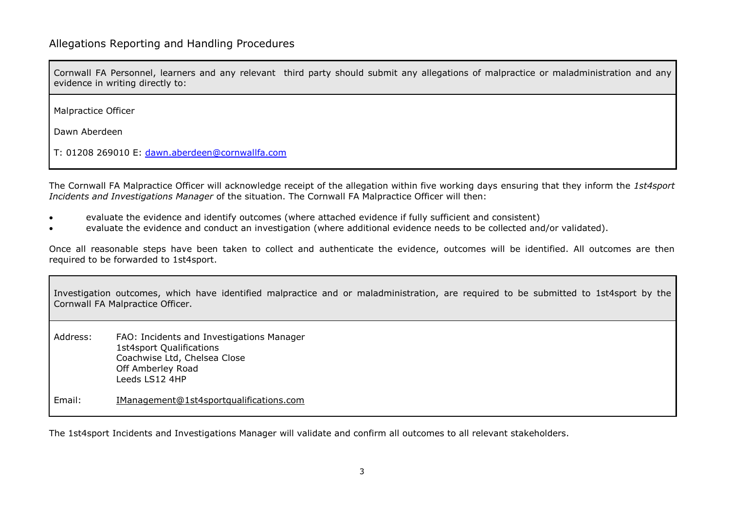Cornwall FA Personnel, learners and any relevant third party should submit any allegations of malpractice or maladministration and any evidence in writing directly to:

Malpractice Officer

Dawn Aberdeen

T: 01208 269010 E: [dawn.aberdeen@cornwallfa.com](mailto:dawn.aberdeen@cornwallfa.com)

The Cornwall FA Malpractice Officer will acknowledge receipt of the allegation within five working days ensuring that they inform the *1st4sport Incidents and Investigations Manager* of the situation. The Cornwall FA Malpractice Officer will then:

- evaluate the evidence and identify outcomes (where attached evidence if fully sufficient and consistent)
- evaluate the evidence and conduct an investigation (where additional evidence needs to be collected and/or validated).

Once all reasonable steps have been taken to collect and authenticate the evidence, outcomes will be identified. All outcomes are then required to be forwarded to 1st4sport.

Investigation outcomes, which have identified malpractice and or maladministration, are required to be submitted to 1st4sport by the Cornwall FA Malpractice Officer. Address: FAO: Incidents and Investigations Manager 1st4sport Qualifications Coachwise Ltd, Chelsea Close Off Amberley Road Leeds LS12 4HP Email: [IManagement@1st4sportqualifications.com](mailto:psmith@1st4sportqualifications.com)

The 1st4sport Incidents and Investigations Manager will validate and confirm all outcomes to all relevant stakeholders.